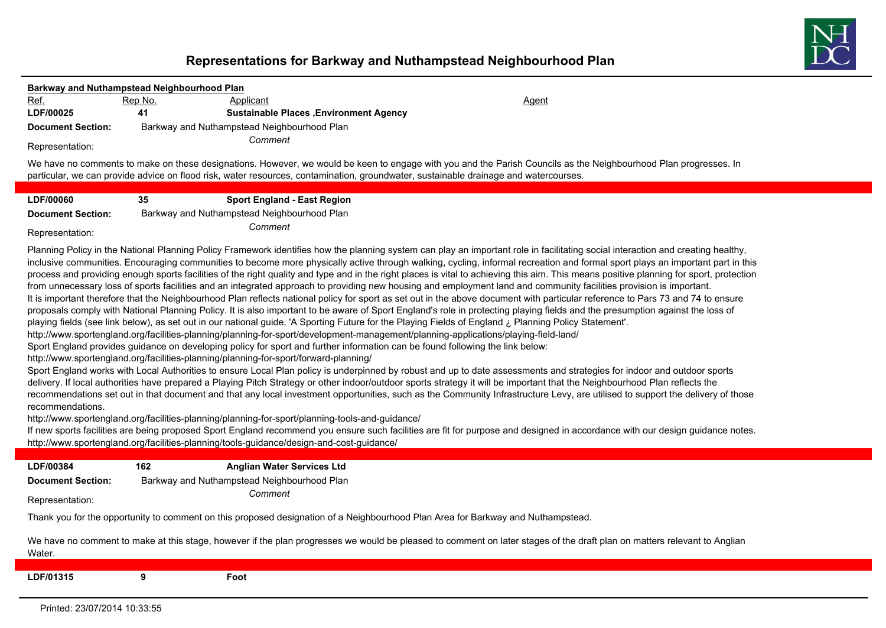## **Representations for Barkway and Nuthampstead Neighbourhood Plan**

| Barkway and Nuthampstead Neighbourhood Plan |         |                                                                                                                                                                                                                                                                                     |                                                                                                                                                                                                                                                                                                                                                                                                                                                                                                                                                                                                                                                                                                                                                                                                                                                                                                                                                                                                                                                                                                                                                                                                                                                                                                                                                                                                                                                                                                                                                                                                                                                                                                                                                                                                                                                                                                                                                                                                                                                                                                                                                                                                                                                                        |
|---------------------------------------------|---------|-------------------------------------------------------------------------------------------------------------------------------------------------------------------------------------------------------------------------------------------------------------------------------------|------------------------------------------------------------------------------------------------------------------------------------------------------------------------------------------------------------------------------------------------------------------------------------------------------------------------------------------------------------------------------------------------------------------------------------------------------------------------------------------------------------------------------------------------------------------------------------------------------------------------------------------------------------------------------------------------------------------------------------------------------------------------------------------------------------------------------------------------------------------------------------------------------------------------------------------------------------------------------------------------------------------------------------------------------------------------------------------------------------------------------------------------------------------------------------------------------------------------------------------------------------------------------------------------------------------------------------------------------------------------------------------------------------------------------------------------------------------------------------------------------------------------------------------------------------------------------------------------------------------------------------------------------------------------------------------------------------------------------------------------------------------------------------------------------------------------------------------------------------------------------------------------------------------------------------------------------------------------------------------------------------------------------------------------------------------------------------------------------------------------------------------------------------------------------------------------------------------------------------------------------------------------|
| Ref.                                        | Rep No. | Applicant                                                                                                                                                                                                                                                                           | Agent                                                                                                                                                                                                                                                                                                                                                                                                                                                                                                                                                                                                                                                                                                                                                                                                                                                                                                                                                                                                                                                                                                                                                                                                                                                                                                                                                                                                                                                                                                                                                                                                                                                                                                                                                                                                                                                                                                                                                                                                                                                                                                                                                                                                                                                                  |
| LDF/00025                                   | 41      | <b>Sustainable Places , Environment Agency</b>                                                                                                                                                                                                                                      |                                                                                                                                                                                                                                                                                                                                                                                                                                                                                                                                                                                                                                                                                                                                                                                                                                                                                                                                                                                                                                                                                                                                                                                                                                                                                                                                                                                                                                                                                                                                                                                                                                                                                                                                                                                                                                                                                                                                                                                                                                                                                                                                                                                                                                                                        |
| <b>Document Section:</b>                    |         | Barkway and Nuthampstead Neighbourhood Plan                                                                                                                                                                                                                                         |                                                                                                                                                                                                                                                                                                                                                                                                                                                                                                                                                                                                                                                                                                                                                                                                                                                                                                                                                                                                                                                                                                                                                                                                                                                                                                                                                                                                                                                                                                                                                                                                                                                                                                                                                                                                                                                                                                                                                                                                                                                                                                                                                                                                                                                                        |
| Representation:                             |         | Comment                                                                                                                                                                                                                                                                             |                                                                                                                                                                                                                                                                                                                                                                                                                                                                                                                                                                                                                                                                                                                                                                                                                                                                                                                                                                                                                                                                                                                                                                                                                                                                                                                                                                                                                                                                                                                                                                                                                                                                                                                                                                                                                                                                                                                                                                                                                                                                                                                                                                                                                                                                        |
|                                             |         |                                                                                                                                                                                                                                                                                     | We have no comments to make on these designations. However, we would be keen to engage with you and the Parish Councils as the Neighbourhood Plan progresses. In<br>particular, we can provide advice on flood risk, water resources, contamination, groundwater, sustainable drainage and watercourses.                                                                                                                                                                                                                                                                                                                                                                                                                                                                                                                                                                                                                                                                                                                                                                                                                                                                                                                                                                                                                                                                                                                                                                                                                                                                                                                                                                                                                                                                                                                                                                                                                                                                                                                                                                                                                                                                                                                                                               |
| LDF/00060                                   | 35      | <b>Sport England - East Region</b>                                                                                                                                                                                                                                                  |                                                                                                                                                                                                                                                                                                                                                                                                                                                                                                                                                                                                                                                                                                                                                                                                                                                                                                                                                                                                                                                                                                                                                                                                                                                                                                                                                                                                                                                                                                                                                                                                                                                                                                                                                                                                                                                                                                                                                                                                                                                                                                                                                                                                                                                                        |
| <b>Document Section:</b>                    |         | Barkway and Nuthampstead Neighbourhood Plan                                                                                                                                                                                                                                         |                                                                                                                                                                                                                                                                                                                                                                                                                                                                                                                                                                                                                                                                                                                                                                                                                                                                                                                                                                                                                                                                                                                                                                                                                                                                                                                                                                                                                                                                                                                                                                                                                                                                                                                                                                                                                                                                                                                                                                                                                                                                                                                                                                                                                                                                        |
| Representation:                             |         | Comment                                                                                                                                                                                                                                                                             |                                                                                                                                                                                                                                                                                                                                                                                                                                                                                                                                                                                                                                                                                                                                                                                                                                                                                                                                                                                                                                                                                                                                                                                                                                                                                                                                                                                                                                                                                                                                                                                                                                                                                                                                                                                                                                                                                                                                                                                                                                                                                                                                                                                                                                                                        |
| recommendations.                            |         | http://www.sportengland.org/facilities-planning/planning-for-sport/forward-planning/<br>http://www.sportengland.org/facilities-planning/planning-for-sport/planning-tools-and-guidance/<br>http://www.sportengland.org/facilities-planning/tools-guidance/design-and-cost-guidance/ | Planning Policy in the National Planning Policy Framework identifies how the planning system can play an important role in facilitating social interaction and creating healthy,<br>inclusive communities. Encouraging communities to become more physically active through walking, cycling, informal recreation and formal sport plays an important part in this<br>process and providing enough sports facilities of the right quality and type and in the right places is vital to achieving this aim. This means positive planning for sport, protection<br>from unnecessary loss of sports facilities and an integrated approach to providing new housing and employment land and community facilities provision is important.<br>It is important therefore that the Neighbourhood Plan reflects national policy for sport as set out in the above document with particular reference to Pars 73 and 74 to ensure<br>proposals comply with National Planning Policy. It is also important to be aware of Sport England's role in protecting playing fields and the presumption against the loss of<br>playing fields (see link below), as set out in our national guide, 'A Sporting Future for the Playing Fields of England ¿ Planning Policy Statement'.<br>http://www.sportengland.org/facilities-planning/planning-for-sport/development-management/planning-applications/playing-field-land/<br>Sport England provides guidance on developing policy for sport and further information can be found following the link below:<br>Sport England works with Local Authorities to ensure Local Plan policy is underpinned by robust and up to date assessments and strategies for indoor and outdoor sports<br>delivery. If local authorities have prepared a Playing Pitch Strategy or other indoor/outdoor sports strategy it will be important that the Neighbourhood Plan reflects the<br>recommendations set out in that document and that any local investment opportunities, such as the Community Infrastructure Levy, are utilised to support the delivery of those<br>If new sports facilities are being proposed Sport England recommend you ensure such facilities are fit for purpose and designed in accordance with our design guidance notes. |
| LDF/00384                                   | 162     | <b>Anglian Water Services Ltd</b>                                                                                                                                                                                                                                                   |                                                                                                                                                                                                                                                                                                                                                                                                                                                                                                                                                                                                                                                                                                                                                                                                                                                                                                                                                                                                                                                                                                                                                                                                                                                                                                                                                                                                                                                                                                                                                                                                                                                                                                                                                                                                                                                                                                                                                                                                                                                                                                                                                                                                                                                                        |
| <b>Document Section:</b>                    |         | Barkway and Nuthampstead Neighbourhood Plan                                                                                                                                                                                                                                         |                                                                                                                                                                                                                                                                                                                                                                                                                                                                                                                                                                                                                                                                                                                                                                                                                                                                                                                                                                                                                                                                                                                                                                                                                                                                                                                                                                                                                                                                                                                                                                                                                                                                                                                                                                                                                                                                                                                                                                                                                                                                                                                                                                                                                                                                        |
| Representation:                             |         | Comment                                                                                                                                                                                                                                                                             |                                                                                                                                                                                                                                                                                                                                                                                                                                                                                                                                                                                                                                                                                                                                                                                                                                                                                                                                                                                                                                                                                                                                                                                                                                                                                                                                                                                                                                                                                                                                                                                                                                                                                                                                                                                                                                                                                                                                                                                                                                                                                                                                                                                                                                                                        |
|                                             |         |                                                                                                                                                                                                                                                                                     | Thank you for the opportunity to comment on this proposed designation of a Neighbourhood Plan Area for Barkway and Nuthampstead.                                                                                                                                                                                                                                                                                                                                                                                                                                                                                                                                                                                                                                                                                                                                                                                                                                                                                                                                                                                                                                                                                                                                                                                                                                                                                                                                                                                                                                                                                                                                                                                                                                                                                                                                                                                                                                                                                                                                                                                                                                                                                                                                       |
| Water.                                      |         |                                                                                                                                                                                                                                                                                     | We have no comment to make at this stage, however if the plan progresses we would be pleased to comment on later stages of the draft plan on matters relevant to Anglian                                                                                                                                                                                                                                                                                                                                                                                                                                                                                                                                                                                                                                                                                                                                                                                                                                                                                                                                                                                                                                                                                                                                                                                                                                                                                                                                                                                                                                                                                                                                                                                                                                                                                                                                                                                                                                                                                                                                                                                                                                                                                               |
| LDF/01315                                   | 9       | Foot                                                                                                                                                                                                                                                                                |                                                                                                                                                                                                                                                                                                                                                                                                                                                                                                                                                                                                                                                                                                                                                                                                                                                                                                                                                                                                                                                                                                                                                                                                                                                                                                                                                                                                                                                                                                                                                                                                                                                                                                                                                                                                                                                                                                                                                                                                                                                                                                                                                                                                                                                                        |

Printed: 23/07/2014 10:33:55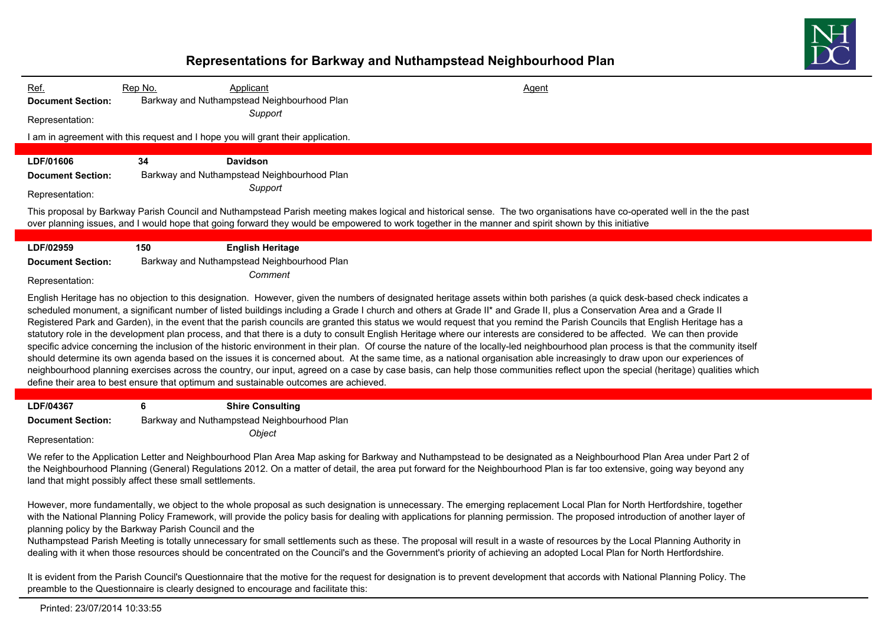

## **Representations for Barkway and Nuthampstead Neighbourhood Plan**

| Rep No.<br>Ref.<br><b>Document Section:</b><br>Representation:                                                                                                                     | Applicant<br>Agent<br>Barkway and Nuthampstead Neighbourhood Plan<br>Support                                                                                                                                                                                                                                                                                                                                                                                                                                                                                                                                                                                                                                                                                                                                                                                                                                                                                                                                                                                                                                                                                                                                                                                                                                                                                                                                                                         |  |
|------------------------------------------------------------------------------------------------------------------------------------------------------------------------------------|------------------------------------------------------------------------------------------------------------------------------------------------------------------------------------------------------------------------------------------------------------------------------------------------------------------------------------------------------------------------------------------------------------------------------------------------------------------------------------------------------------------------------------------------------------------------------------------------------------------------------------------------------------------------------------------------------------------------------------------------------------------------------------------------------------------------------------------------------------------------------------------------------------------------------------------------------------------------------------------------------------------------------------------------------------------------------------------------------------------------------------------------------------------------------------------------------------------------------------------------------------------------------------------------------------------------------------------------------------------------------------------------------------------------------------------------------|--|
|                                                                                                                                                                                    | I am in agreement with this request and I hope you will grant their application.                                                                                                                                                                                                                                                                                                                                                                                                                                                                                                                                                                                                                                                                                                                                                                                                                                                                                                                                                                                                                                                                                                                                                                                                                                                                                                                                                                     |  |
| 34<br>LDF/01606<br><b>Document Section:</b><br>Representation:                                                                                                                     | <b>Davidson</b><br>Barkway and Nuthampstead Neighbourhood Plan<br>Support<br>This proposal by Barkway Parish Council and Nuthampstead Parish meeting makes logical and historical sense. The two organisations have co-operated well in the the past<br>over planning issues, and I would hope that going forward they would be empowered to work together in the manner and spirit shown by this initiative                                                                                                                                                                                                                                                                                                                                                                                                                                                                                                                                                                                                                                                                                                                                                                                                                                                                                                                                                                                                                                         |  |
| LDF/02959<br>150<br><b>Document Section:</b><br>Representation:                                                                                                                    | <b>English Heritage</b><br>Barkway and Nuthampstead Neighbourhood Plan<br>Comment<br>English Heritage has no objection to this designation. However, given the numbers of designated heritage assets within both parishes (a quick desk-based check indicates a<br>scheduled monument, a significant number of listed buildings including a Grade I church and others at Grade II* and Grade II, plus a Conservation Area and a Grade II<br>Registered Park and Garden), in the event that the parish councils are granted this status we would request that you remind the Parish Councils that English Heritage has a<br>statutory role in the development plan process, and that there is a duty to consult English Heritage where our interests are considered to be affected. We can then provide<br>specific advice concerning the inclusion of the historic environment in their plan. Of course the nature of the locally-led neighbourhood plan process is that the community itself<br>should determine its own agenda based on the issues it is concerned about. At the same time, as a national organisation able increasingly to draw upon our experiences of<br>neighbourhood planning exercises across the country, our input, agreed on a case by case basis, can help those communities reflect upon the special (heritage) qualities which<br>define their area to best ensure that optimum and sustainable outcomes are achieved. |  |
| LDF/04367<br>6<br><b>Document Section:</b><br>Representation:<br>land that might possibly affect these small settlements.<br>planning policy by the Barkway Parish Council and the | <b>Shire Consulting</b><br>Barkway and Nuthampstead Neighbourhood Plan<br>Object<br>We refer to the Application Letter and Neighbourhood Plan Area Map asking for Barkway and Nuthampstead to be designated as a Neighbourhood Plan Area under Part 2 of<br>the Neighbourhood Planning (General) Regulations 2012. On a matter of detail, the area put forward for the Neighbourhood Plan is far too extensive, going way beyond any<br>However, more fundamentally, we object to the whole proposal as such designation is unnecessary. The emerging replacement Local Plan for North Hertfordshire, together<br>with the National Planning Policy Framework, will provide the policy basis for dealing with applications for planning permission. The proposed introduction of another layer of                                                                                                                                                                                                                                                                                                                                                                                                                                                                                                                                                                                                                                                    |  |

Nuthampstead Parish Meeting is totally unnecessary for small settlements such as these. The proposal will result in a waste of resources by the Local Planning Authority in dealing with it when those resources should be concentrated on the Council's and the Government's priority of achieving an adopted Local Plan for North Hertfordshire.

It is evident from the Parish Council's Questionnaire that the motive for the request for designation is to prevent development that accords with National Planning Policy. The preamble to the Questionnaire is clearly designed to encourage and facilitate this:

Printed: 23/07/2014 10:33:55